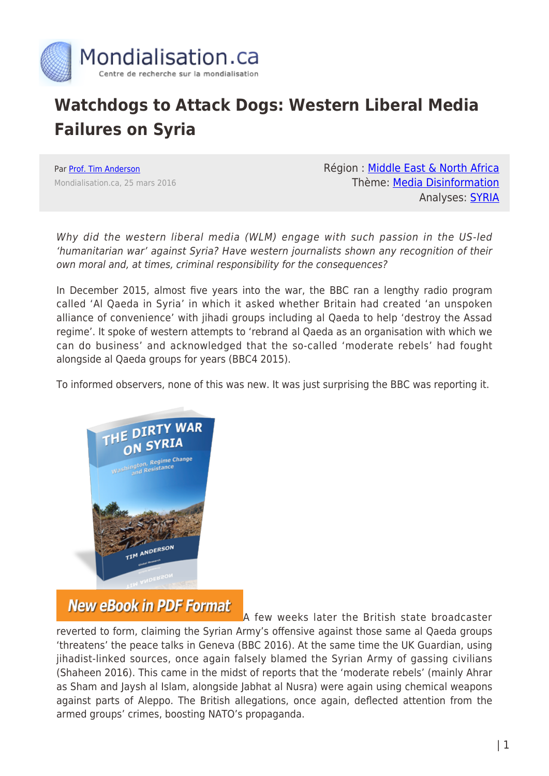

## **Watchdogs to Attack Dogs: Western Liberal Media Failures on Syria**

Par [Prof. Tim Anderson](https://www.mondialisation.ca/author/tim-anderson) Mondialisation.ca, 25 mars 2016 Région : [Middle East & North Africa](https://www.mondialisation.ca/region/middle-east) Thème: [Media Disinformation](https://www.mondialisation.ca/theme/media-disinformation) Analyses: [SYRIA](https://www.mondialisation.ca/indepthreport/syria-nato-s-next-war)

Why did the western liberal media (WLM) engage with such passion in the US-led 'humanitarian war' against Syria? Have western journalists shown any recognition of their own moral and, at times, criminal responsibility for the consequences?

In December 2015, almost five years into the war, the BBC ran a lengthy radio program called 'Al Qaeda in Syria' in which it asked whether Britain had created 'an unspoken alliance of convenience' with jihadi groups including al Qaeda to help 'destroy the Assad regime'. It spoke of western attempts to 'rebrand al Qaeda as an organisation with which we can do business' and acknowledged that the so-called 'moderate rebels' had fought alongside al Qaeda groups for years (BBC4 2015).

To informed observers, none of this was new. It was just surprising the BBC was reporting it.



## **New eBook in PDF Format**

[A](https://store.globalresearch.ca/store/the-dirty-war-on-syria-washington-regime-change-and-resistance-pdf/) few weeks later the British state broadcaster reverted to form, claiming the Syrian Army's offensive against those same al Qaeda groups 'threatens' the peace talks in Geneva (BBC 2016). At the same time the UK Guardian, using jihadist-linked sources, once again falsely blamed the Syrian Army of gassing civilians (Shaheen 2016). This came in the midst of reports that the 'moderate rebels' (mainly Ahrar as Sham and Jaysh al Islam, alongside Jabhat al Nusra) were again using chemical weapons against parts of Aleppo. The British allegations, once again, deflected attention from the armed groups' crimes, boosting NATO's propaganda.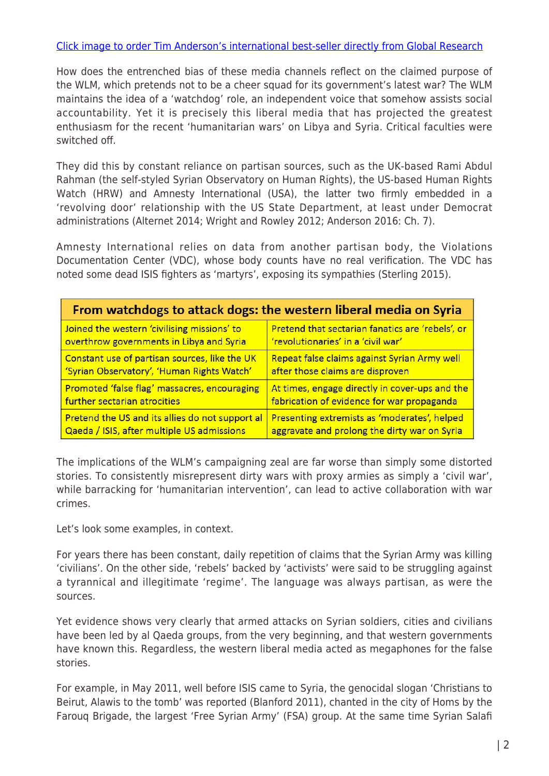## [Click image to order Tim Anderson's international best-seller directly from Global Research](https://store.globalresearch.ca/store/the-dirty-war-on-syria-washington-regime-change-and-resistance-pdf/)

How does the entrenched bias of these media channels reflect on the claimed purpose of the WLM, which pretends not to be a cheer squad for its government's latest war? The WLM maintains the idea of a 'watchdog' role, an independent voice that somehow assists social accountability. Yet it is precisely this liberal media that has projected the greatest enthusiasm for the recent 'humanitarian wars' on Libya and Syria. Critical faculties were switched off.

They did this by constant reliance on partisan sources, such as the UK-based Rami Abdul Rahman (the self-styled Syrian Observatory on Human Rights), the US-based Human Rights Watch (HRW) and Amnesty International (USA), the latter two firmly embedded in a 'revolving door' relationship with the US State Department, at least under Democrat administrations (Alternet 2014; Wright and Rowley 2012; Anderson 2016: Ch. 7).

Amnesty International relies on data from another partisan body, the Violations Documentation Center (VDC), whose body counts have no real verification. The VDC has noted some dead ISIS fighters as 'martyrs', exposing its sympathies (Sterling 2015).

| From watchdogs to attack dogs: the western liberal media on Syria |                                                  |
|-------------------------------------------------------------------|--------------------------------------------------|
| Joined the western 'civilising missions' to                       | Pretend that sectarian fanatics are 'rebels', or |
| overthrow governments in Libya and Syria                          | 'revolutionaries' in a 'civil war'               |
| Constant use of partisan sources, like the UK                     | Repeat false claims against Syrian Army well     |
| 'Syrian Observatory', 'Human Rights Watch'                        | after those claims are disproven                 |
| Promoted 'false flag' massacres, encouraging                      | At times, engage directly in cover-ups and the   |
| further sectarian atrocities                                      | fabrication of evidence for war propaganda       |
| Pretend the US and its allies do not support al                   | Presenting extremists as 'moderates', helped     |
| Qaeda / ISIS, after multiple US admissions                        | aggravate and prolong the dirty war on Syria     |

The implications of the WLM's campaigning zeal are far worse than simply some distorted stories. To consistently misrepresent dirty wars with proxy armies as simply a 'civil war', while barracking for 'humanitarian intervention', can lead to active collaboration with war crimes.

Let's look some examples, in context.

For years there has been constant, daily repetition of claims that the Syrian Army was killing 'civilians'. On the other side, 'rebels' backed by 'activists' were said to be struggling against a tyrannical and illegitimate 'regime'. The language was always partisan, as were the sources.

Yet evidence shows very clearly that armed attacks on Syrian soldiers, cities and civilians have been led by al Qaeda groups, from the very beginning, and that western governments have known this. Regardless, the western liberal media acted as megaphones for the false stories.

For example, in May 2011, well before ISIS came to Syria, the genocidal slogan 'Christians to Beirut, Alawis to the tomb' was reported (Blanford 2011), chanted in the city of Homs by the Farouq Brigade, the largest 'Free Syrian Army' (FSA) group. At the same time Syrian Salafi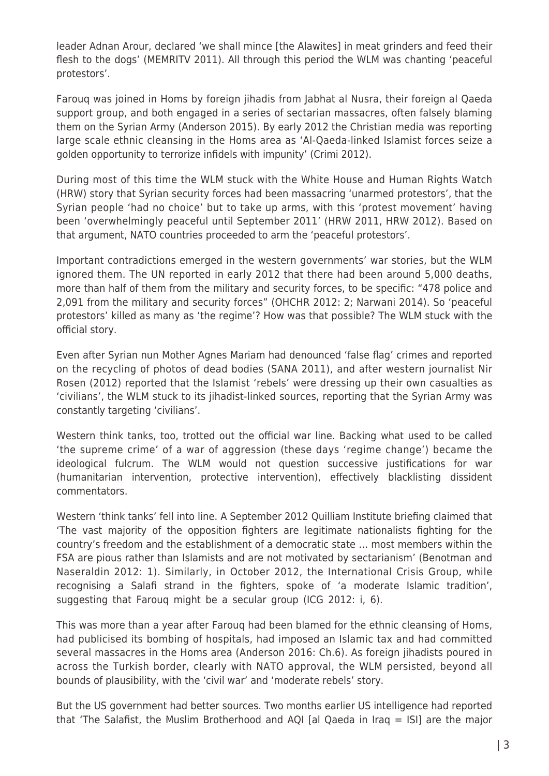leader Adnan Arour, declared 'we shall mince [the Alawites] in meat grinders and feed their flesh to the dogs' (MEMRITV 2011). All through this period the WLM was chanting 'peaceful protestors'.

Farouq was joined in Homs by foreign jihadis from Jabhat al Nusra, their foreign al Qaeda support group, and both engaged in a series of sectarian massacres, often falsely blaming them on the Syrian Army (Anderson 2015). By early 2012 the Christian media was reporting large scale ethnic cleansing in the Homs area as 'Al-Qaeda-linked Islamist forces seize a golden opportunity to terrorize infidels with impunity' (Crimi 2012).

During most of this time the WLM stuck with the White House and Human Rights Watch (HRW) story that Syrian security forces had been massacring 'unarmed protestors', that the Syrian people 'had no choice' but to take up arms, with this 'protest movement' having been 'overwhelmingly peaceful until September 2011' (HRW 2011, HRW 2012). Based on that argument, NATO countries proceeded to arm the 'peaceful protestors'.

Important contradictions emerged in the western governments' war stories, but the WLM ignored them. The UN reported in early 2012 that there had been around 5,000 deaths, more than half of them from the military and security forces, to be specific: "478 police and 2,091 from the military and security forces" (OHCHR 2012: 2; Narwani 2014). So 'peaceful protestors' killed as many as 'the regime'? How was that possible? The WLM stuck with the official story.

Even after Syrian nun Mother Agnes Mariam had denounced 'false flag' crimes and reported on the recycling of photos of dead bodies (SANA 2011), and after western journalist Nir Rosen (2012) reported that the Islamist 'rebels' were dressing up their own casualties as 'civilians', the WLM stuck to its jihadist-linked sources, reporting that the Syrian Army was constantly targeting 'civilians'.

Western think tanks, too, trotted out the official war line. Backing what used to be called 'the supreme crime' of a war of aggression (these days 'regime change') became the ideological fulcrum. The WLM would not question successive justifications for war (humanitarian intervention, protective intervention), effectively blacklisting dissident commentators.

Western 'think tanks' fell into line. A September 2012 Quilliam Institute briefing claimed that 'The vast majority of the opposition fighters are legitimate nationalists fighting for the country's freedom and the establishment of a democratic state … most members within the FSA are pious rather than Islamists and are not motivated by sectarianism' (Benotman and Naseraldin 2012: 1). Similarly, in October 2012, the International Crisis Group, while recognising a Salafi strand in the fighters, spoke of 'a moderate Islamic tradition', suggesting that Farouq might be a secular group (ICG 2012: i, 6).

This was more than a year after Farouq had been blamed for the ethnic cleansing of Homs, had publicised its bombing of hospitals, had imposed an Islamic tax and had committed several massacres in the Homs area (Anderson 2016: Ch.6). As foreign jihadists poured in across the Turkish border, clearly with NATO approval, the WLM persisted, beyond all bounds of plausibility, with the 'civil war' and 'moderate rebels' story.

But the US government had better sources. Two months earlier US intelligence had reported that 'The Salafist, the Muslim Brotherhood and AQI [al Qaeda in Iraq = ISI] are the major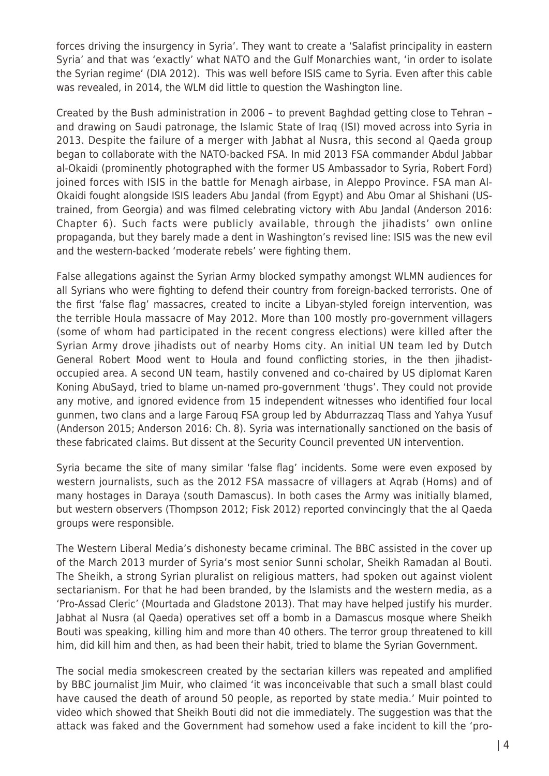forces driving the insurgency in Syria'. They want to create a 'Salafist principality in eastern Syria' and that was 'exactly' what NATO and the Gulf Monarchies want, 'in order to isolate the Syrian regime' (DIA 2012). This was well before ISIS came to Syria. Even after this cable was revealed, in 2014, the WLM did little to question the Washington line.

Created by the Bush administration in 2006 – to prevent Baghdad getting close to Tehran – and drawing on Saudi patronage, the Islamic State of Iraq (ISI) moved across into Syria in 2013. Despite the failure of a merger with Jabhat al Nusra, this second al Qaeda group began to collaborate with the NATO-backed FSA. In mid 2013 FSA commander Abdul Jabbar al-Okaidi (prominently photographed with the former US Ambassador to Syria, Robert Ford) joined forces with ISIS in the battle for Menagh airbase, in Aleppo Province. FSA man Al-Okaidi fought alongside ISIS leaders Abu Jandal (from Egypt) and Abu Omar al Shishani (UStrained, from Georgia) and was filmed celebrating victory with Abu Jandal (Anderson 2016: Chapter 6). Such facts were publicly available, through the jihadists' own online propaganda, but they barely made a dent in Washington's revised line: ISIS was the new evil and the western-backed 'moderate rebels' were fighting them.

False allegations against the Syrian Army blocked sympathy amongst WLMN audiences for all Syrians who were fighting to defend their country from foreign-backed terrorists. One of the first 'false flag' massacres, created to incite a Libyan-styled foreign intervention, was the terrible Houla massacre of May 2012. More than 100 mostly pro-government villagers (some of whom had participated in the recent congress elections) were killed after the Syrian Army drove jihadists out of nearby Homs city. An initial UN team led by Dutch General Robert Mood went to Houla and found conflicting stories, in the then jihadistoccupied area. A second UN team, hastily convened and co-chaired by US diplomat Karen Koning AbuSayd, tried to blame un-named pro-government 'thugs'. They could not provide any motive, and ignored evidence from 15 independent witnesses who identified four local gunmen, two clans and a large Farouq FSA group led by Abdurrazzaq Tlass and Yahya Yusuf (Anderson 2015; Anderson 2016: Ch. 8). Syria was internationally sanctioned on the basis of these fabricated claims. But dissent at the Security Council prevented UN intervention.

Syria became the site of many similar 'false flag' incidents. Some were even exposed by western journalists, such as the 2012 FSA massacre of villagers at Aqrab (Homs) and of many hostages in Daraya (south Damascus). In both cases the Army was initially blamed, but western observers (Thompson 2012; Fisk 2012) reported convincingly that the al Qaeda groups were responsible.

The Western Liberal Media's dishonesty became criminal. The BBC assisted in the cover up of the March 2013 murder of Syria's most senior Sunni scholar, Sheikh Ramadan al Bouti. The Sheikh, a strong Syrian pluralist on religious matters, had spoken out against violent sectarianism. For that he had been branded, by the Islamists and the western media, as a 'Pro-Assad Cleric' (Mourtada and Gladstone 2013). That may have helped justify his murder. Jabhat al Nusra (al Qaeda) operatives set off a bomb in a Damascus mosque where Sheikh Bouti was speaking, killing him and more than 40 others. The terror group threatened to kill him, did kill him and then, as had been their habit, tried to blame the Syrian Government.

The social media smokescreen created by the sectarian killers was repeated and amplified by BBC journalist Jim Muir, who claimed 'it was inconceivable that such a small blast could have caused the death of around 50 people, as reported by state media.' Muir pointed to video which showed that Sheikh Bouti did not die immediately. The suggestion was that the attack was faked and the Government had somehow used a fake incident to kill the 'pro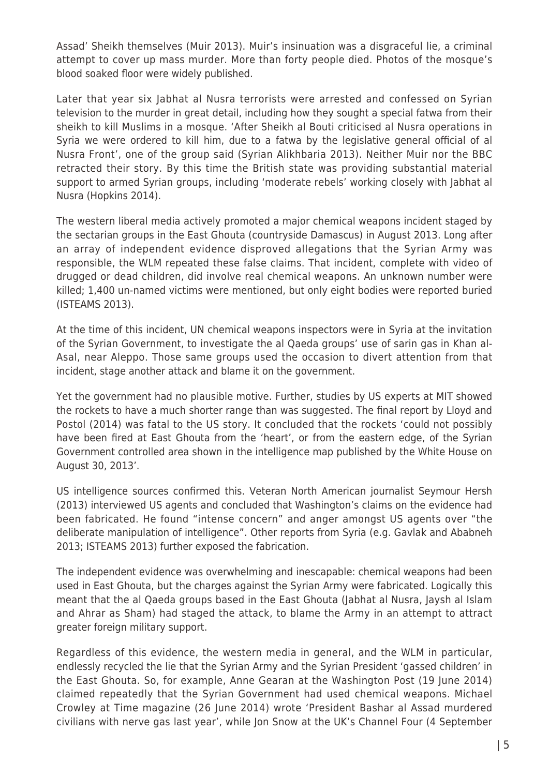Assad' Sheikh themselves (Muir 2013). Muir's insinuation was a disgraceful lie, a criminal attempt to cover up mass murder. More than forty people died. Photos of the mosque's blood soaked floor were widely published.

Later that year six Jabhat al Nusra terrorists were arrested and confessed on Syrian television to the murder in great detail, including how they sought a special fatwa from their sheikh to kill Muslims in a mosque. 'After Sheikh al Bouti criticised al Nusra operations in Syria we were ordered to kill him, due to a fatwa by the legislative general official of al Nusra Front', one of the group said (Syrian Alikhbaria 2013). Neither Muir nor the BBC retracted their story. By this time the British state was providing substantial material support to armed Syrian groups, including 'moderate rebels' working closely with Jabhat al Nusra (Hopkins 2014).

The western liberal media actively promoted a major chemical weapons incident staged by the sectarian groups in the East Ghouta (countryside Damascus) in August 2013. Long after an array of independent evidence disproved allegations that the Syrian Army was responsible, the WLM repeated these false claims. That incident, complete with video of drugged or dead children, did involve real chemical weapons. An unknown number were killed; 1,400 un-named victims were mentioned, but only eight bodies were reported buried (ISTEAMS 2013).

At the time of this incident, UN chemical weapons inspectors were in Syria at the invitation of the Syrian Government, to investigate the al Qaeda groups' use of sarin gas in Khan al-Asal, near Aleppo. Those same groups used the occasion to divert attention from that incident, stage another attack and blame it on the government.

Yet the government had no plausible motive. Further, studies by US experts at MIT showed the rockets to have a much shorter range than was suggested. The final report by Lloyd and Postol (2014) was fatal to the US story. It concluded that the rockets 'could not possibly have been fired at East Ghouta from the 'heart', or from the eastern edge, of the Syrian Government controlled area shown in the intelligence map published by the White House on August 30, 2013'.

US intelligence sources confirmed this. Veteran North American journalist Seymour Hersh (2013) interviewed US agents and concluded that Washington's claims on the evidence had been fabricated. He found "intense concern" and anger amongst US agents over "the deliberate manipulation of intelligence". Other reports from Syria (e.g. Gavlak and Ababneh 2013; ISTEAMS 2013) further exposed the fabrication.

The independent evidence was overwhelming and inescapable: chemical weapons had been used in East Ghouta, but the charges against the Syrian Army were fabricated. Logically this meant that the al Qaeda groups based in the East Ghouta (Jabhat al Nusra, Jaysh al Islam and Ahrar as Sham) had staged the attack, to blame the Army in an attempt to attract greater foreign military support.

Regardless of this evidence, the western media in general, and the WLM in particular, endlessly recycled the lie that the Syrian Army and the Syrian President 'gassed children' in the East Ghouta. So, for example, Anne Gearan at the Washington Post (19 June 2014) claimed repeatedly that the Syrian Government had used chemical weapons. Michael Crowley at Time magazine (26 June 2014) wrote 'President Bashar al Assad murdered civilians with nerve gas last year', while Jon Snow at the UK's Channel Four (4 September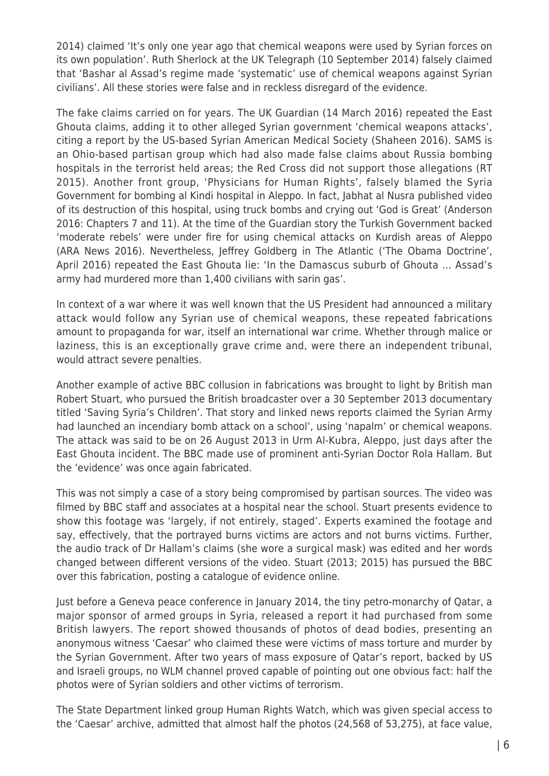2014) claimed 'It's only one year ago that chemical weapons were used by Syrian forces on its own population'. Ruth Sherlock at the UK Telegraph (10 September 2014) falsely claimed that 'Bashar al Assad's regime made 'systematic' use of chemical weapons against Syrian civilians'. All these stories were false and in reckless disregard of the evidence.

The fake claims carried on for years. The UK Guardian (14 March 2016) repeated the East Ghouta claims, adding it to other alleged Syrian government 'chemical weapons attacks', citing a report by the US-based Syrian American Medical Society (Shaheen 2016). SAMS is an Ohio-based partisan group which had also made false claims about Russia bombing hospitals in the terrorist held areas; the Red Cross did not support those allegations (RT 2015). Another front group, 'Physicians for Human Rights', falsely blamed the Syria Government for bombing al Kindi hospital in Aleppo. In fact, Jabhat al Nusra published video of its destruction of this hospital, using truck bombs and crying out 'God is Great' (Anderson 2016: Chapters 7 and 11). At the time of the Guardian story the Turkish Government backed 'moderate rebels' were under fire for using chemical attacks on Kurdish areas of Aleppo (ARA News 2016). Nevertheless, Jeffrey Goldberg in The Atlantic ('The Obama Doctrine', April 2016) repeated the East Ghouta lie: 'In the Damascus suburb of Ghouta … Assad's army had murdered more than 1,400 civilians with sarin gas'.

In context of a war where it was well known that the US President had announced a military attack would follow any Syrian use of chemical weapons, these repeated fabrications amount to propaganda for war, itself an international war crime. Whether through malice or laziness, this is an exceptionally grave crime and, were there an independent tribunal, would attract severe penalties.

Another example of active BBC collusion in fabrications was brought to light by British man Robert Stuart, who pursued the British broadcaster over a 30 September 2013 documentary titled 'Saving Syria's Children'. That story and linked news reports claimed the Syrian Army had launched an incendiary bomb attack on a school', using 'napalm' or chemical weapons. The attack was said to be on 26 August 2013 in Urm Al-Kubra, Aleppo, just days after the East Ghouta incident. The BBC made use of prominent anti-Syrian Doctor Rola Hallam. But the 'evidence' was once again fabricated.

This was not simply a case of a story being compromised by partisan sources. The video was filmed by BBC staff and associates at a hospital near the school. Stuart presents evidence to show this footage was 'largely, if not entirely, staged'. Experts examined the footage and say, effectively, that the portrayed burns victims are actors and not burns victims. Further, the audio track of Dr Hallam's claims (she wore a surgical mask) was edited and her words changed between different versions of the video. Stuart (2013; 2015) has pursued the BBC over this fabrication, posting a catalogue of evidence online.

Just before a Geneva peace conference in January 2014, the tiny petro-monarchy of Qatar, a major sponsor of armed groups in Syria, released a report it had purchased from some British lawyers. The report showed thousands of photos of dead bodies, presenting an anonymous witness 'Caesar' who claimed these were victims of mass torture and murder by the Syrian Government. After two years of mass exposure of Qatar's report, backed by US and Israeli groups, no WLM channel proved capable of pointing out one obvious fact: half the photos were of Syrian soldiers and other victims of terrorism.

The State Department linked group Human Rights Watch, which was given special access to the 'Caesar' archive, admitted that almost half the photos (24,568 of 53,275), at face value,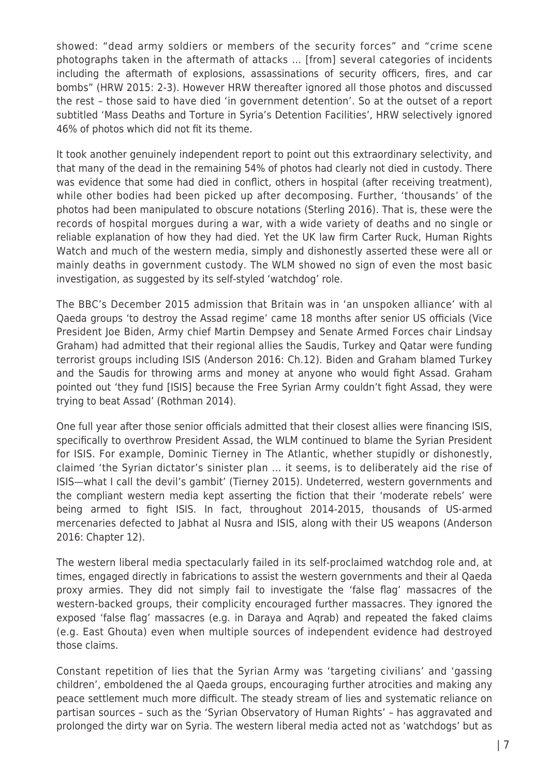showed: "dead army soldiers or members of the security forces" and "crime scene photographs taken in the aftermath of attacks … [from] several categories of incidents including the aftermath of explosions, assassinations of security officers, fires, and car bombs" (HRW 2015: 2-3). However HRW thereafter ignored all those photos and discussed the rest – those said to have died 'in government detention'. So at the outset of a report subtitled 'Mass Deaths and Torture in Syria's Detention Facilities', HRW selectively ignored 46% of photos which did not fit its theme.

It took another genuinely independent report to point out this extraordinary selectivity, and that many of the dead in the remaining 54% of photos had clearly not died in custody. There was evidence that some had died in conflict, others in hospital (after receiving treatment), while other bodies had been picked up after decomposing. Further, 'thousands' of the photos had been manipulated to obscure notations (Sterling 2016). That is, these were the records of hospital morgues during a war, with a wide variety of deaths and no single or reliable explanation of how they had died. Yet the UK law firm Carter Ruck, Human Rights Watch and much of the western media, simply and dishonestly asserted these were all or mainly deaths in government custody. The WLM showed no sign of even the most basic investigation, as suggested by its self-styled 'watchdog' role.

The BBC's December 2015 admission that Britain was in 'an unspoken alliance' with al Qaeda groups 'to destroy the Assad regime' came 18 months after senior US officials (Vice President Joe Biden, Army chief Martin Dempsey and Senate Armed Forces chair Lindsay Graham) had admitted that their regional allies the Saudis, Turkey and Qatar were funding terrorist groups including ISIS (Anderson 2016: Ch.12). Biden and Graham blamed Turkey and the Saudis for throwing arms and money at anyone who would fight Assad. Graham pointed out 'they fund [ISIS] because the Free Syrian Army couldn't fight Assad, they were trying to beat Assad' (Rothman 2014).

One full year after those senior officials admitted that their closest allies were financing ISIS, specifically to overthrow President Assad, the WLM continued to blame the Syrian President for ISIS. For example, Dominic Tierney in The Atlantic, whether stupidly or dishonestly, claimed 'the Syrian dictator's sinister plan … it seems, is to deliberately aid the rise of ISIS—what I call the devil's gambit' (Tierney 2015). Undeterred, western governments and the compliant western media kept asserting the fiction that their 'moderate rebels' were being armed to fight ISIS. In fact, throughout 2014-2015, thousands of US-armed mercenaries defected to Jabhat al Nusra and ISIS, along with their US weapons (Anderson 2016: Chapter 12).

The western liberal media spectacularly failed in its self-proclaimed watchdog role and, at times, engaged directly in fabrications to assist the western governments and their al Qaeda proxy armies. They did not simply fail to investigate the 'false flag' massacres of the western-backed groups, their complicity encouraged further massacres. They ignored the exposed 'false flag' massacres (e.g. in Daraya and Aqrab) and repeated the faked claims (e.g. East Ghouta) even when multiple sources of independent evidence had destroyed those claims.

Constant repetition of lies that the Syrian Army was 'targeting civilians' and 'gassing children', emboldened the al Qaeda groups, encouraging further atrocities and making any peace settlement much more difficult. The steady stream of lies and systematic reliance on partisan sources – such as the 'Syrian Observatory of Human Rights' – has aggravated and prolonged the dirty war on Syria. The western liberal media acted not as 'watchdogs' but as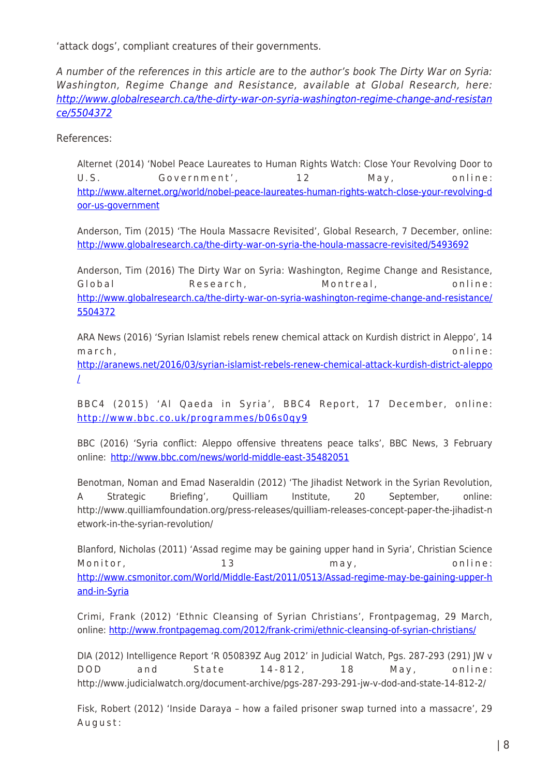'attack dogs', compliant creatures of their governments.

A number of the references in this article are to the author's book The Dirty War on Syria: Washington, Regime Change and Resistance, available at Global Research, here: [http://www.globalresearch.ca/the-dirty-war-on-syria-washington-regime-change-and-resistan](http://www.globalresearch.ca/the-dirty-war-on-syria-washington-regime-change-and-resistance/5504372) [ce/5504372](http://www.globalresearch.ca/the-dirty-war-on-syria-washington-regime-change-and-resistance/5504372)

References:

Alternet (2014) 'Nobel Peace Laureates to Human Rights Watch: Close Your Revolving Door to U.S. Government', 12 May, online: [http://www.alternet.org/world/nobel-peace-laureates-human-rights-watch-close-your-revolving-d](http://www.alternet.org/world/nobel-peace-laureates-human-rights-watch-close-your-revolving-door-us-government) [oor-us-government](http://www.alternet.org/world/nobel-peace-laureates-human-rights-watch-close-your-revolving-door-us-government)

Anderson, Tim (2015) 'The Houla Massacre Revisited', Global Research, 7 December, online: <http://www.globalresearch.ca/the-dirty-war-on-syria-the-houla-massacre-revisited/5493692>

Anderson, Tim (2016) The Dirty War on Syria: Washington, Regime Change and Resistance, Global Research, Montreal, online: [http://www.globalresearch.ca/the-dirty-war-on-syria-washington-regime-change-and-resistance/](http://www.globalresearch.ca/the-dirty-war-on-syria-washington-regime-change-and-resistance/5504372) [5504372](http://www.globalresearch.ca/the-dirty-war-on-syria-washington-regime-change-and-resistance/5504372)

ARA News (2016) 'Syrian Islamist rebels renew chemical attack on Kurdish district in Aleppo', 14 march, online: [http://aranews.net/2016/03/syrian-islamist-rebels-renew-chemical-attack-kurdish-district-aleppo](http://aranews.net/2016/03/syrian-islamist-rebels-renew-chemical-attack-kurdish-district-aleppo/) [/](http://aranews.net/2016/03/syrian-islamist-rebels-renew-chemical-attack-kurdish-district-aleppo/)

BBC4 (2015) 'Al Qaeda in Syria', BBC4 Report, 17 December, online: <http://www.bbc.co.uk/programmes/b06s0qy9>

BBC (2016) 'Syria conflict: Aleppo offensive threatens peace talks', BBC News, 3 February online:<http://www.bbc.com/news/world-middle-east-35482051>

Benotman, Noman and Emad Naseraldin (2012) 'The Jihadist Network in the Syrian Revolution, A Strategic Briefing', Quilliam Institute, 20 September, online: http://www.quilliamfoundation.org/press-releases/quilliam-releases-concept-paper-the-jihadist-n etwork-in-the-syrian-revolution/

Blanford, Nicholas (2011) 'Assad regime may be gaining upper hand in Syria', Christian Science Monitor, 13 may, online: [http://www.csmonitor.com/World/Middle-East/2011/0513/Assad-regime-may-be-gaining-upper-h](http://www.csmonitor.com/World/Middle-East/2011/0513/Assad-regime-may-be-gaining-upper-hand-in-Syria) [and-in-Syria](http://www.csmonitor.com/World/Middle-East/2011/0513/Assad-regime-may-be-gaining-upper-hand-in-Syria)

Crimi, Frank (2012) 'Ethnic Cleansing of Syrian Christians', Frontpagemag, 29 March, online:<http://www.frontpagemag.com/2012/frank-crimi/ethnic-cleansing-of-syrian-christians/>

DIA (2012) Intelligence Report 'R 050839Z Aug 2012' in Judicial Watch, Pgs. 287-293 (291) JW v DOD and State 14-812, 18 May, online: http://www.judicialwatch.org/document-archive/pgs-287-293-291-jw-v-dod-and-state-14-812-2/

Fisk, Robert (2012) 'Inside Daraya – how a failed prisoner swap turned into a massacre', 29 August: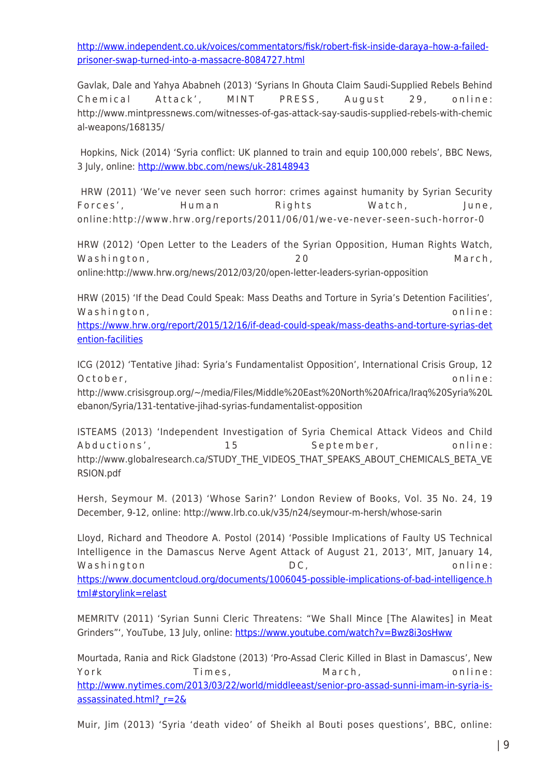[http://www.independent.co.uk/voices/commentators/fisk/robert-fisk-inside-daraya–how-a-failed](http://www.independent.co.uk/voices/commentators/fisk/robert-fisk-inside-daraya%E2%80%93how-a-failed-prisoner-swap-turned-into-a-massacre-8084727.html)[prisoner-swap-turned-into-a-massacre-8084727.html](http://www.independent.co.uk/voices/commentators/fisk/robert-fisk-inside-daraya%E2%80%93how-a-failed-prisoner-swap-turned-into-a-massacre-8084727.html)

Gavlak, Dale and Yahya Ababneh (2013) 'Syrians In Ghouta Claim Saudi-Supplied Rebels Behind Chemical Attack', MINT PRESS, August 29, online: http://www.mintpressnews.com/witnesses-of-gas-attack-say-saudis-supplied-rebels-with-chemic al-weapons/168135/

 Hopkins, Nick (2014) 'Syria conflict: UK planned to train and equip 100,000 rebels', BBC News, 3 July, online: <http://www.bbc.com/news/uk-28148943>

 HRW (2011) 'We've never seen such horror: crimes against humanity by Syrian Security Forces', Human Rights Watch, June, online:http://www.hrw.org/reports/2011/06/01/we-ve-never-seen-such-horror-0

HRW (2012) 'Open Letter to the Leaders of the Syrian Opposition, Human Rights Watch, Washington, 20 March, online:http://www.hrw.org/news/2012/03/20/open-letter-leaders-syrian-opposition

HRW (2015) 'If the Dead Could Speak: Mass Deaths and Torture in Syria's Detention Facilities', Washington,  $\overline{O}$  and  $\overline{O}$  and  $\overline{O}$  and  $\overline{O}$  and  $\overline{O}$  and  $\overline{O}$  and  $\overline{O}$  and  $\overline{O}$  and  $\overline{O}$  and  $\overline{O}$  and  $\overline{O}$  and  $\overline{O}$  and  $\overline{O}$  and  $\overline{O}$  and  $\overline{O}$  and  $\overline{O}$  and  $\$ 

[https://www.hrw.org/report/2015/12/16/if-dead-could-speak/mass-deaths-and-torture-syrias-det](https://www.hrw.org/report/2015/12/16/if-dead-could-speak/mass-deaths-and-torture-syrias-detention-facilities) [ention-facilities](https://www.hrw.org/report/2015/12/16/if-dead-could-speak/mass-deaths-and-torture-syrias-detention-facilities)

ICG (2012) 'Tentative Jihad: Syria's Fundamentalist Opposition', International Crisis Group, 12 October, online:

http://www.crisisgroup.org/~/media/Files/Middle%20East%20North%20Africa/Iraq%20Syria%20L ebanon/Syria/131-tentative-jihad-syrias-fundamentalist-opposition

ISTEAMS (2013) 'Independent Investigation of Syria Chemical Attack Videos and Child Abductions', 15 September, online: http://www.globalresearch.ca/STUDY\_THE\_VIDEOS\_THAT\_SPEAKS\_ABOUT\_CHEMICALS\_BETA\_VE RSION.pdf

Hersh, Seymour M. (2013) 'Whose Sarin?' London Review of Books, Vol. 35 No. 24, 19 December, 9-12, online: http://www.lrb.co.uk/v35/n24/seymour-m-hersh/whose-sarin

Lloyd, Richard and Theodore A. Postol (2014) 'Possible Implications of Faulty US Technical Intelligence in the Damascus Nerve Agent Attack of August 21, 2013', MIT, January 14, Washington **DC**, **online:**  $\mathsf{DC}$ , **online:** [https://www.documentcloud.org/documents/1006045-possible-implications-of-bad-intelligence.h](https://www.documentcloud.org/documents/1006045-possible-implications-of-bad-intelligence.html#storylink=relast) [tml#storylink=relast](https://www.documentcloud.org/documents/1006045-possible-implications-of-bad-intelligence.html#storylink=relast)

MEMRITV (2011) 'Syrian Sunni Cleric Threatens: "We Shall Mince [The Alawites] in Meat Grinders"', YouTube, 13 July, online:<https://www.youtube.com/watch?v=Bwz8i3osHww>

Mourtada, Rania and Rick Gladstone (2013) 'Pro-Assad Cleric Killed in Blast in Damascus', New York Times, March, online: [http://www.nytimes.com/2013/03/22/world/middleeast/senior-pro-assad-sunni-imam-in-syria-is](http://www.nytimes.com/2013/03/22/world/middleeast/senior-pro-assad-sunni-imam-in-syria-is-assassinated.html?_r=2&)[assassinated.html?\\_r=2&](http://www.nytimes.com/2013/03/22/world/middleeast/senior-pro-assad-sunni-imam-in-syria-is-assassinated.html?_r=2&)

Muir, Jim (2013) 'Syria 'death video' of Sheikh al Bouti poses questions', BBC, online: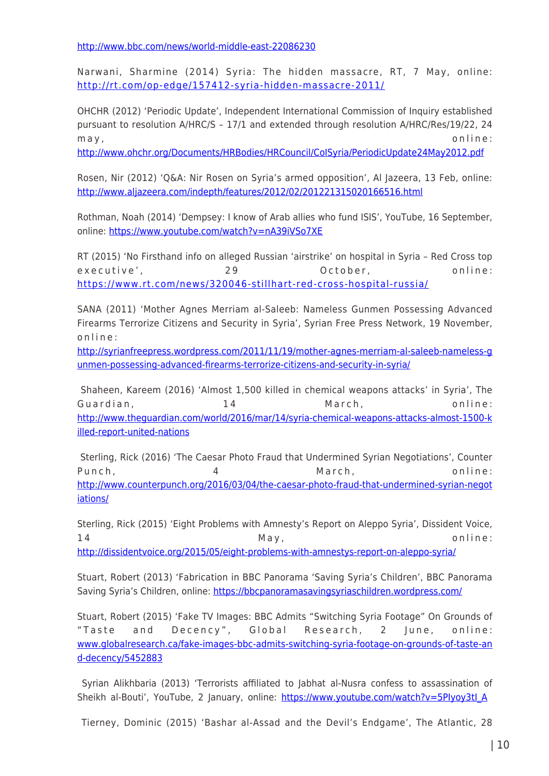<http://www.bbc.com/news/world-middle-east-22086230>

Narwani, Sharmine (2014) Syria: The hidden massacre, RT, 7 May, online: <http://rt.com/op-edge/157412-syria-hidden-massacre-2011/>

OHCHR (2012) 'Periodic Update', Independent International Commission of Inquiry established pursuant to resolution A/HRC/S – 17/1 and extended through resolution A/HRC/Res/19/22, 24 may, online:

<http://www.ohchr.org/Documents/HRBodies/HRCouncil/CoISyria/PeriodicUpdate24May2012.pdf>

Rosen, Nir (2012) 'Q&A: Nir Rosen on Syria's armed opposition', Al Jazeera, 13 Feb, online: <http://www.aljazeera.com/indepth/features/2012/02/201221315020166516.html>

Rothman, Noah (2014) 'Dempsey: I know of Arab allies who fund ISIS', YouTube, 16 September, online:<https://www.youtube.com/watch?v=nA39iVSo7XE>

RT (2015) 'No Firsthand info on alleged Russian 'airstrike' on hospital in Syria – Red Cross top executive', 29 October, online: <https://www.rt.com/news/320046-stillhart-red-cross-hospital-russia/>

SANA (2011) 'Mother Agnes Merriam al-Saleeb: Nameless Gunmen Possessing Advanced Firearms Terrorize Citizens and Security in Syria', Syrian Free Press Network, 19 November, online:

[http://syrianfreepress.wordpress.com/2011/11/19/mother-agnes-merriam-al-saleeb-nameless-g](http://syrianfreepress.wordpress.com/2011/11/19/mother-agnes-merriam-al-saleeb-nameless-gunmen-possessing-advanced-firearms-terrorize-citizens-and-security-in-syria/) [unmen-possessing-advanced-firearms-terrorize-citizens-and-security-in-syria/](http://syrianfreepress.wordpress.com/2011/11/19/mother-agnes-merriam-al-saleeb-nameless-gunmen-possessing-advanced-firearms-terrorize-citizens-and-security-in-syria/)

 Shaheen, Kareem (2016) 'Almost 1,500 killed in chemical weapons attacks' in Syria', The Guardian, 14 March, online: [http://www.theguardian.com/world/2016/mar/14/syria-chemical-weapons-attacks-almost-1500-k](http://www.theguardian.com/world/2016/mar/14/syria-chemical-weapons-attacks-almost-1500-killed-report-united-nations) [illed-report-united-nations](http://www.theguardian.com/world/2016/mar/14/syria-chemical-weapons-attacks-almost-1500-killed-report-united-nations)

 Sterling, Rick (2016) 'The Caesar Photo Fraud that Undermined Syrian Negotiations', Counter Punch, 4 March, online: [http://www.counterpunch.org/2016/03/04/the-caesar-photo-fraud-that-undermined-syrian-negot](http://www.counterpunch.org/2016/03/04/the-caesar-photo-fraud-that-undermined-syrian-negotiations/) [iations/](http://www.counterpunch.org/2016/03/04/the-caesar-photo-fraud-that-undermined-syrian-negotiations/)

Sterling, Rick (2015) 'Eight Problems with Amnesty's Report on Aleppo Syria', Dissident Voice, 14 May, online: <http://dissidentvoice.org/2015/05/eight-problems-with-amnestys-report-on-aleppo-syria/>

Stuart, Robert (2013) 'Fabrication in BBC Panorama 'Saving Syria's Children', BBC Panorama Saving Syria's Children, online:<https://bbcpanoramasavingsyriaschildren.wordpress.com/>

Stuart, Robert (2015) 'Fake TV Images: BBC Admits "Switching Syria Footage" On Grounds of "Taste and Decency", Global Research, 2 June, online: [www.globalresearch.ca/fake-images-bbc-admits-switching-syria-footage-on-grounds-of-taste-an](http://www.globalresearch.ca/fake-images-bbc-admits-switching-syria-footage-on-grounds-of-taste-and-decency/5452883) [d-decency/5452883](http://www.globalresearch.ca/fake-images-bbc-admits-switching-syria-footage-on-grounds-of-taste-and-decency/5452883)

 Syrian Alikhbaria (2013) 'Terrorists affiliated to Jabhat al-Nusra confess to assassination of Sheikh al-Bouti', YouTube, 2 January, online: https://www.youtube.com/watch?v=5PIyoy3tI A

Tierney, Dominic (2015) 'Bashar al-Assad and the Devil's Endgame', The Atlantic, 28